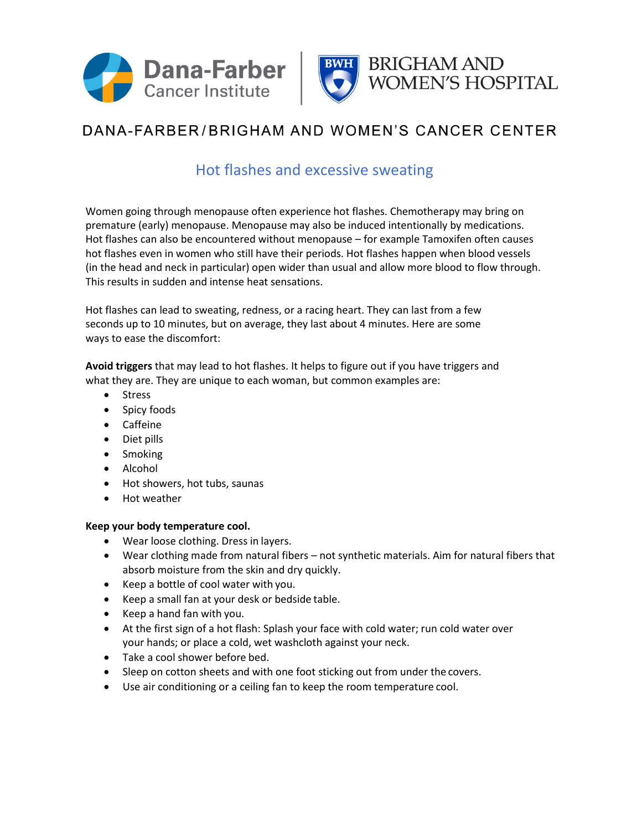



## DANA-FARBER/BRIGHAM AND WOMEN'S CANCER CENTER

## Hot flashes and excessive sweating

Women going through menopause often experience hot flashes. Chemotherapy may bring on premature (early) menopause. Menopause may also be induced intentionally by medications. Hot flashes can also be encountered without menopause – for example Tamoxifen often causes hot flashes even in women who still have their periods. Hot flashes happen when blood vessels (in the head and neck in particular) open wider than usual and allow more blood to flow through. This results in sudden and intense heat sensations.

Hot flashes can lead to sweating, redness, or a racing heart. They can last from a few seconds up to 10 minutes, but on average, they last about 4 minutes. Here are some ways to ease the discomfort:

**Avoid triggers** that may lead to hot flashes. It helps to figure out if you have triggers and what they are. They are unique to each woman, but common examples are:

- Stress
- Spicy foods
- Caffeine
- Diet pills
- Smoking
- Alcohol
- Hot showers, hot tubs, saunas
- Hot weather

## **Keep your body temperature cool.**

- Wear loose clothing. Dress in layers.
- Wear clothing made from natural fibers not synthetic materials. Aim for natural fibers that absorb moisture from the skin and dry quickly.
- Keep a bottle of cool water with you.
- Keep a small fan at your desk or bedside table.
- Keep a hand fan with you.
- At the first sign of a hot flash: Splash your face with cold water; run cold water over your hands; or place a cold, wet washcloth against your neck.
- Take a cool shower before bed.
- Sleep on cotton sheets and with one foot sticking out from under the covers.
- Use air conditioning or a ceiling fan to keep the room temperature cool.